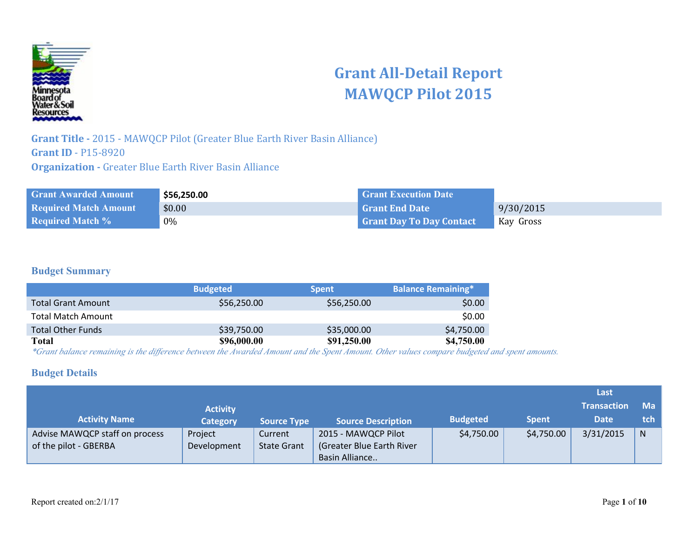

# **Grant All-Detail Report MAWQCP Pilot 2015**

**Grant Title -** 2015 - MAWQCP Pilot (Greater Blue Earth River Basin Alliance) **Grant ID** - P15-8920 **Organization -** Greater Blue Earth River Basin Alliance

| <b>Grant Awarded Amount</b>  | \$56,250.00 | <b>Crant Execution Date</b>     |           |
|------------------------------|-------------|---------------------------------|-----------|
| <b>Required Match Amount</b> | \$0.00      | Grant End Date                  | 9/30/2015 |
| <b>Required Match %</b>      | 0%          | <b>Grant Day To Day Contact</b> | Kay Gross |

#### **Budget Summary**

|                           | <b>Budgeted</b> | <b>Spent</b> | <b>Balance Remaining*</b> |
|---------------------------|-----------------|--------------|---------------------------|
| <b>Total Grant Amount</b> | \$56,250.00     | \$56,250.00  | \$0.00                    |
| <b>Total Match Amount</b> |                 |              | \$0.00                    |
| <b>Total Other Funds</b>  | \$39,750.00     | \$35,000.00  | \$4,750.00                |
| Total                     | \$96,000.00     | \$91,250.00  | \$4,750.00                |

*\*Grant balance remaining is the difference between the Awarded Amount and the Spent Amount. Other values compare budgeted and spent amounts.*

#### **Budget Details**

|                                                         |                        |                               |                                                                    |                 |              | Last               |              |
|---------------------------------------------------------|------------------------|-------------------------------|--------------------------------------------------------------------|-----------------|--------------|--------------------|--------------|
|                                                         | <b>Activity</b>        |                               |                                                                    |                 |              | <b>Transaction</b> | Ma           |
| <b>Activity Name</b>                                    | <b>Category</b>        | <b>Source Type</b>            | <b>Source Description</b>                                          | <b>Budgeted</b> | <b>Spent</b> | <b>Date</b>        | tch          |
| Advise MAWQCP staff on process<br>of the pilot - GBERBA | Project<br>Development | Current<br><b>State Grant</b> | 2015 - MAWQCP Pilot<br>(Greater Blue Earth River<br>Basin Alliance | \$4,750.00      | \$4,750.00   | 3/31/2015          | $\mathsf{N}$ |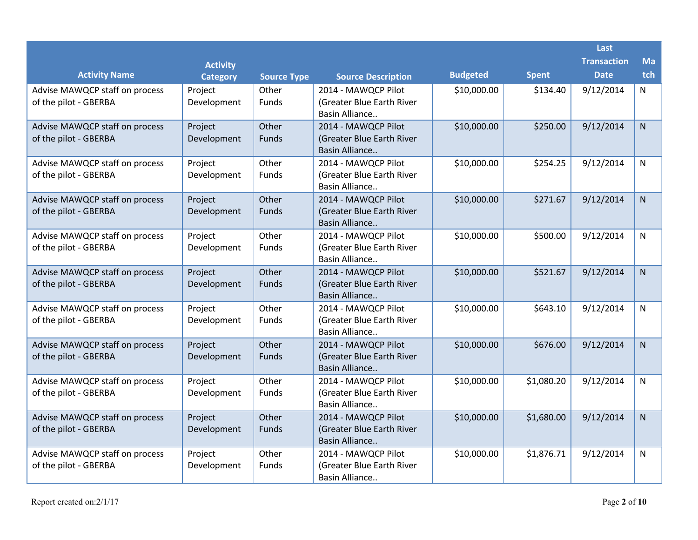|                                                         |                            |                             |                                                  |                 |              | Last                              |                  |
|---------------------------------------------------------|----------------------------|-----------------------------|--------------------------------------------------|-----------------|--------------|-----------------------------------|------------------|
| <b>Activity Name</b>                                    | <b>Activity</b>            |                             |                                                  | <b>Budgeted</b> | <b>Spent</b> | <b>Transaction</b><br><b>Date</b> | <b>Ma</b><br>tch |
| Advise MAWQCP staff on process                          | <b>Category</b><br>Project | <b>Source Type</b><br>Other | <b>Source Description</b><br>2014 - MAWQCP Pilot | \$10,000.00     | \$134.40     | 9/12/2014                         | N                |
| of the pilot - GBERBA                                   | Development                | Funds                       | (Greater Blue Earth River                        |                 |              |                                   |                  |
|                                                         |                            |                             | Basin Alliance                                   |                 |              |                                   |                  |
| Advise MAWQCP staff on process                          | Project                    | Other                       | 2014 - MAWQCP Pilot                              | \$10,000.00     | \$250.00     | 9/12/2014                         | $\mathsf{N}$     |
| of the pilot - GBERBA                                   | Development                | Funds                       | (Greater Blue Earth River<br>Basin Alliance      |                 |              |                                   |                  |
| Advise MAWQCP staff on process                          | Project                    | Other                       | 2014 - MAWQCP Pilot                              | \$10,000.00     | \$254.25     | 9/12/2014                         | N                |
| of the pilot - GBERBA                                   | Development                | Funds                       | (Greater Blue Earth River                        |                 |              |                                   |                  |
|                                                         |                            |                             | Basin Alliance                                   |                 |              |                                   |                  |
| Advise MAWQCP staff on process                          | Project                    | Other                       | 2014 - MAWQCP Pilot                              | \$10,000.00     | \$271.67     | 9/12/2014                         | N                |
| of the pilot - GBERBA                                   | Development                | Funds                       | (Greater Blue Earth River                        |                 |              |                                   |                  |
|                                                         |                            |                             | Basin Alliance                                   |                 |              |                                   |                  |
| Advise MAWQCP staff on process                          | Project                    | Other                       | 2014 - MAWQCP Pilot                              | \$10,000.00     | \$500.00     | 9/12/2014                         | N                |
| of the pilot - GBERBA                                   | Development                | Funds                       | (Greater Blue Earth River                        |                 |              |                                   |                  |
|                                                         |                            |                             | Basin Alliance                                   |                 |              |                                   |                  |
| Advise MAWQCP staff on process                          | Project                    | Other                       | 2014 - MAWQCP Pilot                              | \$10,000.00     | \$521.67     | 9/12/2014                         | $\mathsf{N}$     |
| of the pilot - GBERBA                                   | Development                | Funds                       | (Greater Blue Earth River                        |                 |              |                                   |                  |
|                                                         |                            |                             | Basin Alliance                                   |                 |              |                                   |                  |
| Advise MAWQCP staff on process                          | Project                    | Other                       | 2014 - MAWQCP Pilot                              | \$10,000.00     | \$643.10     | 9/12/2014                         | N                |
| of the pilot - GBERBA                                   | Development                | <b>Funds</b>                | (Greater Blue Earth River<br>Basin Alliance      |                 |              |                                   |                  |
|                                                         | Project                    | Other                       | 2014 - MAWQCP Pilot                              | \$10,000.00     | \$676.00     | 9/12/2014                         |                  |
| Advise MAWQCP staff on process<br>of the pilot - GBERBA | Development                | Funds                       | (Greater Blue Earth River                        |                 |              |                                   | $\mathsf{N}$     |
|                                                         |                            |                             | Basin Alliance                                   |                 |              |                                   |                  |
| Advise MAWQCP staff on process                          | Project                    | Other                       | 2014 - MAWQCP Pilot                              | \$10,000.00     | \$1,080.20   | 9/12/2014                         | $\mathsf{N}$     |
| of the pilot - GBERBA                                   | Development                | Funds                       | (Greater Blue Earth River                        |                 |              |                                   |                  |
|                                                         |                            |                             | Basin Alliance                                   |                 |              |                                   |                  |
| Advise MAWQCP staff on process                          | Project                    | Other                       | 2014 - MAWQCP Pilot                              | \$10,000.00     | \$1,680.00   | 9/12/2014                         | $\mathsf{N}$     |
| of the pilot - GBERBA                                   | Development                | Funds                       | (Greater Blue Earth River                        |                 |              |                                   |                  |
|                                                         |                            |                             | Basin Alliance                                   |                 |              |                                   |                  |
| Advise MAWQCP staff on process                          | Project                    | Other                       | 2014 - MAWQCP Pilot                              | \$10,000.00     | \$1,876.71   | 9/12/2014                         | N                |
| of the pilot - GBERBA                                   | Development                | Funds                       | (Greater Blue Earth River                        |                 |              |                                   |                  |
|                                                         |                            |                             | Basin Alliance                                   |                 |              |                                   |                  |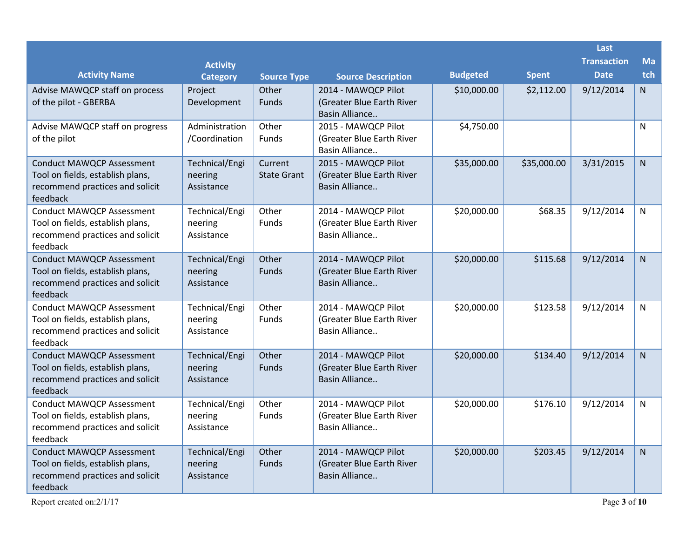|                                                                                                                     |                                         |                               |                                                                     |                 |              | Last                              |                  |
|---------------------------------------------------------------------------------------------------------------------|-----------------------------------------|-------------------------------|---------------------------------------------------------------------|-----------------|--------------|-----------------------------------|------------------|
| <b>Activity Name</b>                                                                                                | <b>Activity</b><br><b>Category</b>      | <b>Source Type</b>            | <b>Source Description</b>                                           | <b>Budgeted</b> | <b>Spent</b> | <b>Transaction</b><br><b>Date</b> | <b>Ma</b><br>tch |
| Advise MAWQCP staff on process<br>of the pilot - GBERBA                                                             | Project<br>Development                  | Other<br><b>Funds</b>         | 2014 - MAWQCP Pilot<br>(Greater Blue Earth River<br>Basin Alliance  | \$10,000.00     | \$2,112.00   | 9/12/2014                         | N.               |
| Advise MAWQCP staff on progress<br>of the pilot                                                                     | Administration<br>/Coordination         | Other<br><b>Funds</b>         | 2015 - MAWQCP Pilot<br>(Greater Blue Earth River)<br>Basin Alliance | \$4,750.00      |              |                                   | N                |
| <b>Conduct MAWQCP Assessment</b><br>Tool on fields, establish plans,<br>recommend practices and solicit<br>feedback | Technical/Engi<br>neering<br>Assistance | Current<br><b>State Grant</b> | 2015 - MAWQCP Pilot<br>(Greater Blue Earth River<br>Basin Alliance  | \$35,000.00     | \$35,000.00  | 3/31/2015                         | N                |
| <b>Conduct MAWQCP Assessment</b><br>Tool on fields, establish plans,<br>recommend practices and solicit<br>feedback | Technical/Engi<br>neering<br>Assistance | Other<br>Funds                | 2014 - MAWQCP Pilot<br>(Greater Blue Earth River)<br>Basin Alliance | \$20,000.00     | \$68.35      | 9/12/2014                         | N                |
| <b>Conduct MAWQCP Assessment</b><br>Tool on fields, establish plans,<br>recommend practices and solicit<br>feedback | Technical/Engi<br>neering<br>Assistance | Other<br>Funds                | 2014 - MAWQCP Pilot<br>(Greater Blue Earth River<br>Basin Alliance  | \$20,000.00     | \$115.68     | 9/12/2014                         | $\mathsf{N}$     |
| <b>Conduct MAWQCP Assessment</b><br>Tool on fields, establish plans,<br>recommend practices and solicit<br>feedback | Technical/Engi<br>neering<br>Assistance | Other<br><b>Funds</b>         | 2014 - MAWQCP Pilot<br>(Greater Blue Earth River<br>Basin Alliance  | \$20,000.00     | \$123.58     | 9/12/2014                         | N                |
| <b>Conduct MAWQCP Assessment</b><br>Tool on fields, establish plans,<br>recommend practices and solicit<br>feedback | Technical/Engi<br>neering<br>Assistance | Other<br><b>Funds</b>         | 2014 - MAWQCP Pilot<br>(Greater Blue Earth River<br>Basin Alliance  | \$20,000.00     | \$134.40     | 9/12/2014                         | $\mathsf{N}$     |
| <b>Conduct MAWQCP Assessment</b><br>Tool on fields, establish plans,<br>recommend practices and solicit<br>feedback | Technical/Engi<br>neering<br>Assistance | Other<br>Funds                | 2014 - MAWQCP Pilot<br>(Greater Blue Earth River<br>Basin Alliance  | \$20,000.00     | \$176.10     | 9/12/2014                         | N                |
| <b>Conduct MAWQCP Assessment</b><br>Tool on fields, establish plans,<br>recommend practices and solicit<br>feedback | Technical/Engi<br>neering<br>Assistance | Other<br><b>Funds</b>         | 2014 - MAWQCP Pilot<br>(Greater Blue Earth River)<br>Basin Alliance | \$20,000.00     | \$203.45     | 9/12/2014                         | $\mathsf{N}$     |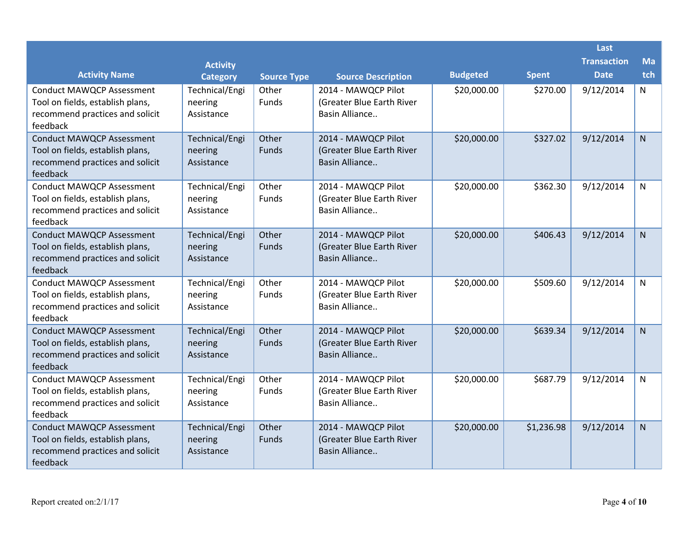|                                                                                                                     |                                         |                    |                                                                    |                 |              | Last               |              |
|---------------------------------------------------------------------------------------------------------------------|-----------------------------------------|--------------------|--------------------------------------------------------------------|-----------------|--------------|--------------------|--------------|
|                                                                                                                     | <b>Activity</b>                         |                    |                                                                    |                 |              | <b>Transaction</b> | <b>Ma</b>    |
| <b>Activity Name</b>                                                                                                | <b>Category</b>                         | <b>Source Type</b> | <b>Source Description</b>                                          | <b>Budgeted</b> | <b>Spent</b> | <b>Date</b>        | tch          |
| <b>Conduct MAWQCP Assessment</b><br>Tool on fields, establish plans,<br>recommend practices and solicit<br>feedback | Technical/Engi<br>neering<br>Assistance | Other<br>Funds     | 2014 - MAWQCP Pilot<br>(Greater Blue Earth River<br>Basin Alliance | \$20,000.00     | \$270.00     | 9/12/2014          | N            |
| <b>Conduct MAWQCP Assessment</b><br>Tool on fields, establish plans,<br>recommend practices and solicit<br>feedback | Technical/Engi<br>neering<br>Assistance | Other<br>Funds     | 2014 - MAWQCP Pilot<br>(Greater Blue Earth River<br>Basin Alliance | \$20,000.00     | \$327.02     | 9/12/2014          | $\mathsf{N}$ |
| <b>Conduct MAWQCP Assessment</b><br>Tool on fields, establish plans,<br>recommend practices and solicit<br>feedback | Technical/Engi<br>neering<br>Assistance | Other<br>Funds     | 2014 - MAWQCP Pilot<br>(Greater Blue Earth River<br>Basin Alliance | \$20,000.00     | \$362.30     | 9/12/2014          | N            |
| <b>Conduct MAWQCP Assessment</b><br>Tool on fields, establish plans,<br>recommend practices and solicit<br>feedback | Technical/Engi<br>neering<br>Assistance | Other<br>Funds     | 2014 - MAWQCP Pilot<br>(Greater Blue Earth River<br>Basin Alliance | \$20,000.00     | \$406.43     | 9/12/2014          | $\mathsf{N}$ |
| <b>Conduct MAWQCP Assessment</b><br>Tool on fields, establish plans,<br>recommend practices and solicit<br>feedback | Technical/Engi<br>neering<br>Assistance | Other<br>Funds     | 2014 - MAWQCP Pilot<br>(Greater Blue Earth River<br>Basin Alliance | \$20,000.00     | \$509.60     | 9/12/2014          | N            |
| <b>Conduct MAWQCP Assessment</b><br>Tool on fields, establish plans,<br>recommend practices and solicit<br>feedback | Technical/Engi<br>neering<br>Assistance | Other<br>Funds     | 2014 - MAWQCP Pilot<br>(Greater Blue Earth River<br>Basin Alliance | \$20,000.00     | \$639.34     | 9/12/2014          | <sub>N</sub> |
| <b>Conduct MAWQCP Assessment</b><br>Tool on fields, establish plans,<br>recommend practices and solicit<br>feedback | Technical/Engi<br>neering<br>Assistance | Other<br>Funds     | 2014 - MAWQCP Pilot<br>(Greater Blue Earth River<br>Basin Alliance | \$20,000.00     | \$687.79     | 9/12/2014          | N            |
| <b>Conduct MAWQCP Assessment</b><br>Tool on fields, establish plans,<br>recommend practices and solicit<br>feedback | Technical/Engi<br>neering<br>Assistance | Other<br>Funds     | 2014 - MAWQCP Pilot<br>(Greater Blue Earth River<br>Basin Alliance | \$20,000.00     | \$1,236.98   | 9/12/2014          | $\mathsf{N}$ |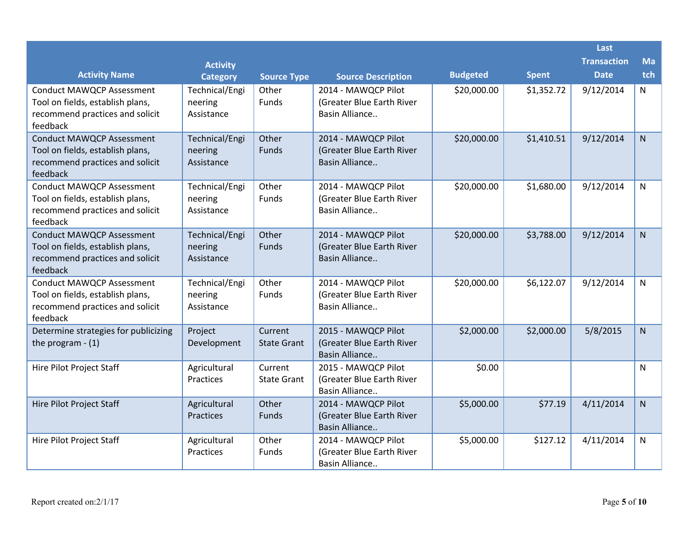|                                                                                                                     |                                         |                               |                                                                     |                 |              | Last               |              |
|---------------------------------------------------------------------------------------------------------------------|-----------------------------------------|-------------------------------|---------------------------------------------------------------------|-----------------|--------------|--------------------|--------------|
|                                                                                                                     | <b>Activity</b>                         |                               |                                                                     |                 |              | <b>Transaction</b> | Ma           |
| <b>Activity Name</b>                                                                                                | <b>Category</b>                         | <b>Source Type</b>            | <b>Source Description</b>                                           | <b>Budgeted</b> | <b>Spent</b> | <b>Date</b>        | tch          |
| <b>Conduct MAWQCP Assessment</b><br>Tool on fields, establish plans,<br>recommend practices and solicit<br>feedback | Technical/Engi<br>neering<br>Assistance | Other<br><b>Funds</b>         | 2014 - MAWQCP Pilot<br>(Greater Blue Earth River)<br>Basin Alliance | \$20,000.00     | \$1,352.72   | 9/12/2014          | $\mathsf{N}$ |
| <b>Conduct MAWQCP Assessment</b><br>Tool on fields, establish plans,<br>recommend practices and solicit<br>feedback | Technical/Engi<br>neering<br>Assistance | Other<br>Funds                | 2014 - MAWQCP Pilot<br>(Greater Blue Earth River<br>Basin Alliance  | \$20,000.00     | \$1,410.51   | 9/12/2014          | $\mathsf{N}$ |
| <b>Conduct MAWQCP Assessment</b><br>Tool on fields, establish plans,<br>recommend practices and solicit<br>feedback | Technical/Engi<br>neering<br>Assistance | Other<br>Funds                | 2014 - MAWQCP Pilot<br>(Greater Blue Earth River<br>Basin Alliance  | \$20,000.00     | \$1,680.00   | 9/12/2014          | N            |
| <b>Conduct MAWQCP Assessment</b><br>Tool on fields, establish plans,<br>recommend practices and solicit<br>feedback | Technical/Engi<br>neering<br>Assistance | Other<br>Funds                | 2014 - MAWQCP Pilot<br>(Greater Blue Earth River<br>Basin Alliance  | \$20,000.00     | \$3,788.00   | 9/12/2014          | $\mathsf{N}$ |
| <b>Conduct MAWQCP Assessment</b><br>Tool on fields, establish plans,<br>recommend practices and solicit<br>feedback | Technical/Engi<br>neering<br>Assistance | Other<br>Funds                | 2014 - MAWQCP Pilot<br>(Greater Blue Earth River<br>Basin Alliance  | \$20,000.00     | \$6,122.07   | 9/12/2014          | N            |
| Determine strategies for publicizing<br>the program $- (1)$                                                         | Project<br>Development                  | Current<br><b>State Grant</b> | 2015 - MAWQCP Pilot<br>(Greater Blue Earth River<br>Basin Alliance  | \$2,000.00      | \$2,000.00   | 5/8/2015           | $\mathsf{N}$ |
| Hire Pilot Project Staff                                                                                            | Agricultural<br>Practices               | Current<br><b>State Grant</b> | 2015 - MAWQCP Pilot<br>(Greater Blue Earth River<br>Basin Alliance  | \$0.00          |              |                    | N            |
| Hire Pilot Project Staff                                                                                            | Agricultural<br>Practices               | Other<br><b>Funds</b>         | 2014 - MAWQCP Pilot<br>(Greater Blue Earth River<br>Basin Alliance  | \$5,000.00      | \$77.19      | 4/11/2014          | $\mathsf{N}$ |
| Hire Pilot Project Staff                                                                                            | Agricultural<br>Practices               | Other<br>Funds                | 2014 - MAWQCP Pilot<br>(Greater Blue Earth River<br>Basin Alliance  | \$5,000.00      | \$127.12     | 4/11/2014          | N            |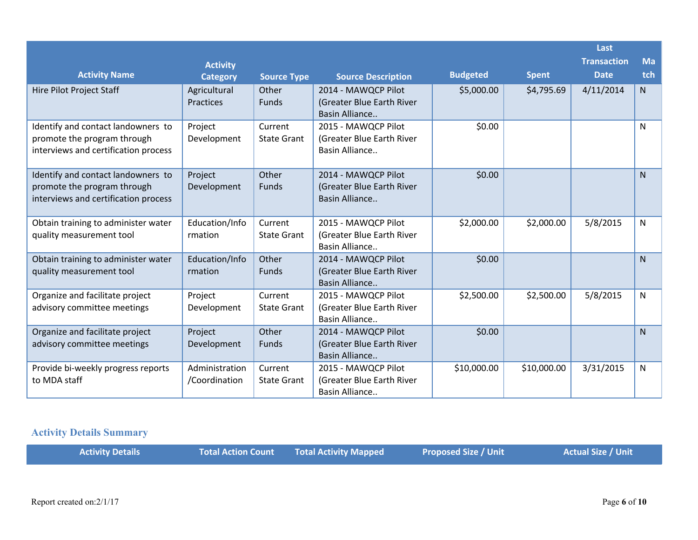|                                                                                                           |                                 |                               |                                                                    |                 |              | Last               |              |
|-----------------------------------------------------------------------------------------------------------|---------------------------------|-------------------------------|--------------------------------------------------------------------|-----------------|--------------|--------------------|--------------|
|                                                                                                           | <b>Activity</b>                 |                               |                                                                    |                 |              | <b>Transaction</b> | <b>Ma</b>    |
| <b>Activity Name</b>                                                                                      | <b>Category</b>                 | <b>Source Type</b>            | <b>Source Description</b>                                          | <b>Budgeted</b> | <b>Spent</b> | <b>Date</b>        | tch          |
| Hire Pilot Project Staff                                                                                  | Agricultural<br>Practices       | Other<br>Funds                | 2014 - MAWQCP Pilot<br>(Greater Blue Earth River<br>Basin Alliance | \$5,000.00      | \$4,795.69   | 4/11/2014          | N            |
| Identify and contact landowners to<br>promote the program through<br>interviews and certification process | Project<br>Development          | Current<br><b>State Grant</b> | 2015 - MAWQCP Pilot<br>(Greater Blue Earth River<br>Basin Alliance | \$0.00          |              |                    | N            |
| Identify and contact landowners to<br>promote the program through<br>interviews and certification process | Project<br>Development          | Other<br><b>Funds</b>         | 2014 - MAWQCP Pilot<br>(Greater Blue Earth River<br>Basin Alliance | \$0.00          |              |                    | $\mathsf{N}$ |
| Obtain training to administer water<br>quality measurement tool                                           | Education/Info<br>rmation       | Current<br><b>State Grant</b> | 2015 - MAWQCP Pilot<br>(Greater Blue Earth River<br>Basin Alliance | \$2,000.00      | \$2,000.00   | 5/8/2015           | N            |
| Obtain training to administer water<br>quality measurement tool                                           | Education/Info<br>rmation       | Other<br><b>Funds</b>         | 2014 - MAWQCP Pilot<br>(Greater Blue Earth River<br>Basin Alliance | \$0.00          |              |                    | $\mathsf{N}$ |
| Organize and facilitate project<br>advisory committee meetings                                            | Project<br>Development          | Current<br><b>State Grant</b> | 2015 - MAWQCP Pilot<br>(Greater Blue Earth River<br>Basin Alliance | \$2,500.00      | \$2,500.00   | 5/8/2015           | N            |
| Organize and facilitate project<br>advisory committee meetings                                            | Project<br>Development          | Other<br><b>Funds</b>         | 2014 - MAWQCP Pilot<br>(Greater Blue Earth River<br>Basin Alliance | \$0.00          |              |                    | $\mathsf{N}$ |
| Provide bi-weekly progress reports<br>to MDA staff                                                        | Administration<br>/Coordination | Current<br><b>State Grant</b> | 2015 - MAWQCP Pilot<br>(Greater Blue Earth River<br>Basin Alliance | \$10,000.00     | \$10,000.00  | 3/31/2015          | N            |

## **Activity Details Summary**

|  | <b>Activity Details</b> |  | Total Action Count   Total Activity Mapped | Proposed Size / Unit | <b>Actual Size / Unit</b> |
|--|-------------------------|--|--------------------------------------------|----------------------|---------------------------|
|--|-------------------------|--|--------------------------------------------|----------------------|---------------------------|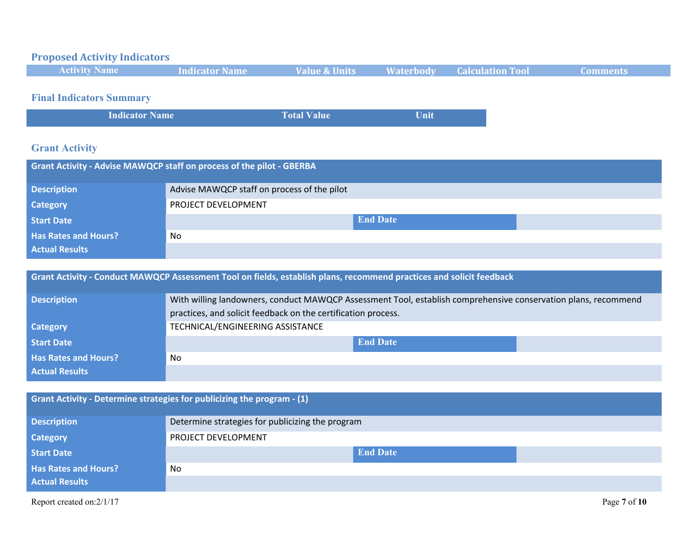## **Proposed Activity Indicators**

| <b>Activity Name</b> | Indicator Name | <b>Value &amp; Units</b> | <b>Waterbody Calculation Tool</b> |  |
|----------------------|----------------|--------------------------|-----------------------------------|--|
|                      |                |                          |                                   |  |

## **Final Indicators Summary**

| <b>Indicator Name</b> | <b>Total Value</b> | Unit |
|-----------------------|--------------------|------|

### **Grant Activity**

| <b>Grant Activity - Advise MAWQCP staff on process of the pilot - GBERBA</b> |                                             |  |  |  |  |
|------------------------------------------------------------------------------|---------------------------------------------|--|--|--|--|
| <b>Description</b>                                                           | Advise MAWQCP staff on process of the pilot |  |  |  |  |
| <b>Category</b>                                                              | PROJECT DEVELOPMENT                         |  |  |  |  |
| <b>Start Date</b>                                                            | <b>End Date</b>                             |  |  |  |  |
| <b>Has Rates and Hours?</b>                                                  | No.                                         |  |  |  |  |
| <b>Actual Results</b>                                                        |                                             |  |  |  |  |

| <b>Grant Activity - Conduct MAWQCP Assessment Tool on fields, establish plans, recommend practices and solicit feedback</b> |                                                                                                                |  |  |
|-----------------------------------------------------------------------------------------------------------------------------|----------------------------------------------------------------------------------------------------------------|--|--|
| <b>Description</b>                                                                                                          | With willing landowners, conduct MAWQCP Assessment Tool, establish comprehensive conservation plans, recommend |  |  |
|                                                                                                                             | practices, and solicit feedback on the certification process.                                                  |  |  |
| <b>Category</b>                                                                                                             | TECHNICAL/ENGINEERING ASSISTANCE                                                                               |  |  |
| <b>Start Date</b>                                                                                                           | <b>End Date</b>                                                                                                |  |  |
| <b>Has Rates and Hours?</b>                                                                                                 | <b>No</b>                                                                                                      |  |  |
| <b>Actual Results</b>                                                                                                       |                                                                                                                |  |  |

| Grant Activity - Determine strategies for publicizing the program - (1) |                                                  |  |
|-------------------------------------------------------------------------|--------------------------------------------------|--|
| <b>Description</b>                                                      | Determine strategies for publicizing the program |  |
| <b>Category</b>                                                         | PROJECT DEVELOPMENT                              |  |
| Start Date                                                              | <b>End Date</b>                                  |  |
| <b>Has Rates and Hours?</b>                                             | No                                               |  |
| <b>Actual Results</b>                                                   |                                                  |  |
| Report created on:2/1/17                                                | Page 7 of 10                                     |  |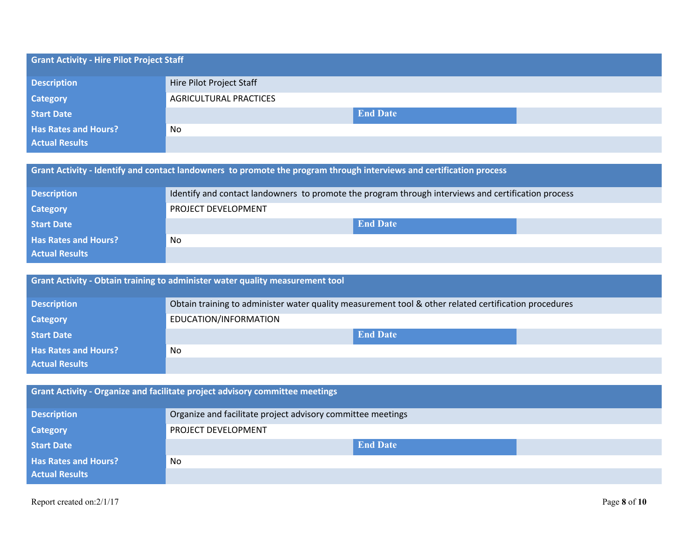| <b>Grant Activity - Hire Pilot Project Staff</b> |                               |                 |  |
|--------------------------------------------------|-------------------------------|-----------------|--|
| <b>Description</b>                               | Hire Pilot Project Staff      |                 |  |
| <b>Category</b>                                  | <b>AGRICULTURAL PRACTICES</b> |                 |  |
| <b>Start Date</b>                                |                               | <b>End Date</b> |  |
| <b>Has Rates and Hours?</b>                      | No                            |                 |  |
| <b>Actual Results</b>                            |                               |                 |  |
|                                                  |                               |                 |  |

| Grant Activity - Identify and contact landowners to promote the program through interviews and certification process |
|----------------------------------------------------------------------------------------------------------------------|
|                                                                                                                      |

| <b>Description</b>          | Identify and contact landowners to promote the program through interviews and certification process |  |  |
|-----------------------------|-----------------------------------------------------------------------------------------------------|--|--|
| <b>Category</b>             | PROJECT DEVELOPMENT                                                                                 |  |  |
| <b>Start Date</b>           | <b>End Date</b>                                                                                     |  |  |
| <b>Has Rates and Hours?</b> | No                                                                                                  |  |  |
| <b>Actual Results</b>       |                                                                                                     |  |  |

| Grant Activity - Obtain training to administer water quality measurement tool |                                                                                                       |  |  |
|-------------------------------------------------------------------------------|-------------------------------------------------------------------------------------------------------|--|--|
| <b>Description</b>                                                            | Obtain training to administer water quality measurement tool & other related certification procedures |  |  |
| <b>Category</b>                                                               | EDUCATION/INFORMATION                                                                                 |  |  |
| Start Date                                                                    | <b>End Date</b>                                                                                       |  |  |
| <b>Has Rates and Hours?</b>                                                   | No                                                                                                    |  |  |
| <b>Actual Results</b>                                                         |                                                                                                       |  |  |

| Grant Activity - Organize and facilitate project advisory committee meetings |                                                             |  |  |
|------------------------------------------------------------------------------|-------------------------------------------------------------|--|--|
| <b>Description</b>                                                           | Organize and facilitate project advisory committee meetings |  |  |
| <b>Category</b>                                                              | PROJECT DEVELOPMENT                                         |  |  |
| <b>Start Date</b>                                                            | <b>End Date</b>                                             |  |  |
| <b>Has Rates and Hours?</b>                                                  | N <sub>0</sub>                                              |  |  |
| <b>Actual Results</b>                                                        |                                                             |  |  |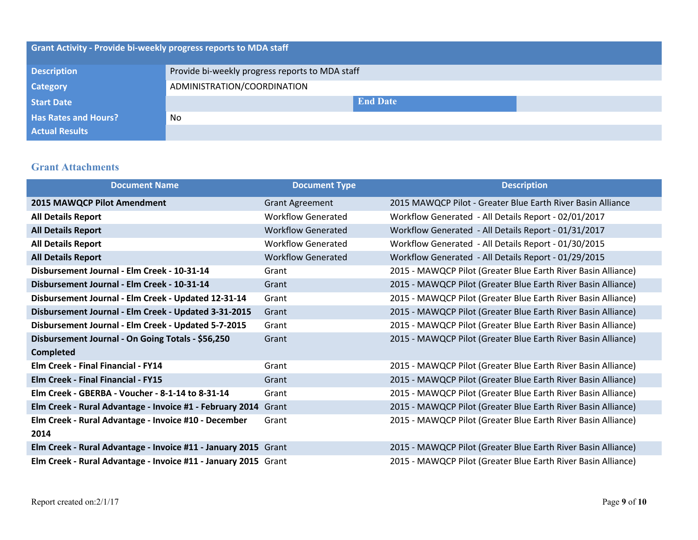| <b>Grant Activity - Provide bi-weekly progress reports to MDA staff</b> |                                                 |  |  |
|-------------------------------------------------------------------------|-------------------------------------------------|--|--|
| <b>Description</b>                                                      | Provide bi-weekly progress reports to MDA staff |  |  |
| <b>Category</b>                                                         | ADMINISTRATION/COORDINATION                     |  |  |
| <b>Start Date</b>                                                       | <b>End Date</b>                                 |  |  |
| <b>Has Rates and Hours?</b>                                             | No                                              |  |  |
| <b>Actual Results</b>                                                   |                                                 |  |  |

#### **Grant Attachments**

| <b>Document Name</b>                                           | <b>Document Type</b>      | <b>Description</b>                                            |
|----------------------------------------------------------------|---------------------------|---------------------------------------------------------------|
| 2015 MAWQCP Pilot Amendment                                    | <b>Grant Agreement</b>    | 2015 MAWQCP Pilot - Greater Blue Earth River Basin Alliance   |
| <b>All Details Report</b>                                      | <b>Workflow Generated</b> | Workflow Generated - All Details Report - 02/01/2017          |
| <b>All Details Report</b>                                      | <b>Workflow Generated</b> | Workflow Generated - All Details Report - 01/31/2017          |
| <b>All Details Report</b>                                      | <b>Workflow Generated</b> | Workflow Generated - All Details Report - 01/30/2015          |
| <b>All Details Report</b>                                      | <b>Workflow Generated</b> | Workflow Generated - All Details Report - 01/29/2015          |
| Disbursement Journal - Elm Creek - 10-31-14                    | Grant                     | 2015 - MAWQCP Pilot (Greater Blue Earth River Basin Alliance) |
| Disbursement Journal - Elm Creek - 10-31-14                    | Grant                     | 2015 - MAWQCP Pilot (Greater Blue Earth River Basin Alliance) |
| Disbursement Journal - Elm Creek - Updated 12-31-14            | Grant                     | 2015 - MAWQCP Pilot (Greater Blue Earth River Basin Alliance) |
| Disbursement Journal - Elm Creek - Updated 3-31-2015           | Grant                     | 2015 - MAWQCP Pilot (Greater Blue Earth River Basin Alliance) |
| Disbursement Journal - Elm Creek - Updated 5-7-2015            | Grant                     | 2015 - MAWQCP Pilot (Greater Blue Earth River Basin Alliance) |
| Disbursement Journal - On Going Totals - \$56,250              | Grant                     | 2015 - MAWQCP Pilot (Greater Blue Earth River Basin Alliance) |
| <b>Completed</b>                                               |                           |                                                               |
| <b>Elm Creek - Final Financial - FY14</b>                      | Grant                     | 2015 - MAWQCP Pilot (Greater Blue Earth River Basin Alliance) |
| <b>Elm Creek - Final Financial - FY15</b>                      | Grant                     | 2015 - MAWQCP Pilot (Greater Blue Earth River Basin Alliance) |
| Elm Creek - GBERBA - Voucher - 8-1-14 to 8-31-14               | Grant                     | 2015 - MAWQCP Pilot (Greater Blue Earth River Basin Alliance) |
| Elm Creek - Rural Advantage - Invoice #1 - February 2014 Grant |                           | 2015 - MAWQCP Pilot (Greater Blue Earth River Basin Alliance) |
| Elm Creek - Rural Advantage - Invoice #10 - December           | Grant                     | 2015 - MAWQCP Pilot (Greater Blue Earth River Basin Alliance) |
| 2014                                                           |                           |                                                               |
| Elm Creek - Rural Advantage - Invoice #11 - January 2015 Grant |                           | 2015 - MAWQCP Pilot (Greater Blue Earth River Basin Alliance) |
| Elm Creek - Rural Advantage - Invoice #11 - January 2015 Grant |                           | 2015 - MAWQCP Pilot (Greater Blue Earth River Basin Alliance) |